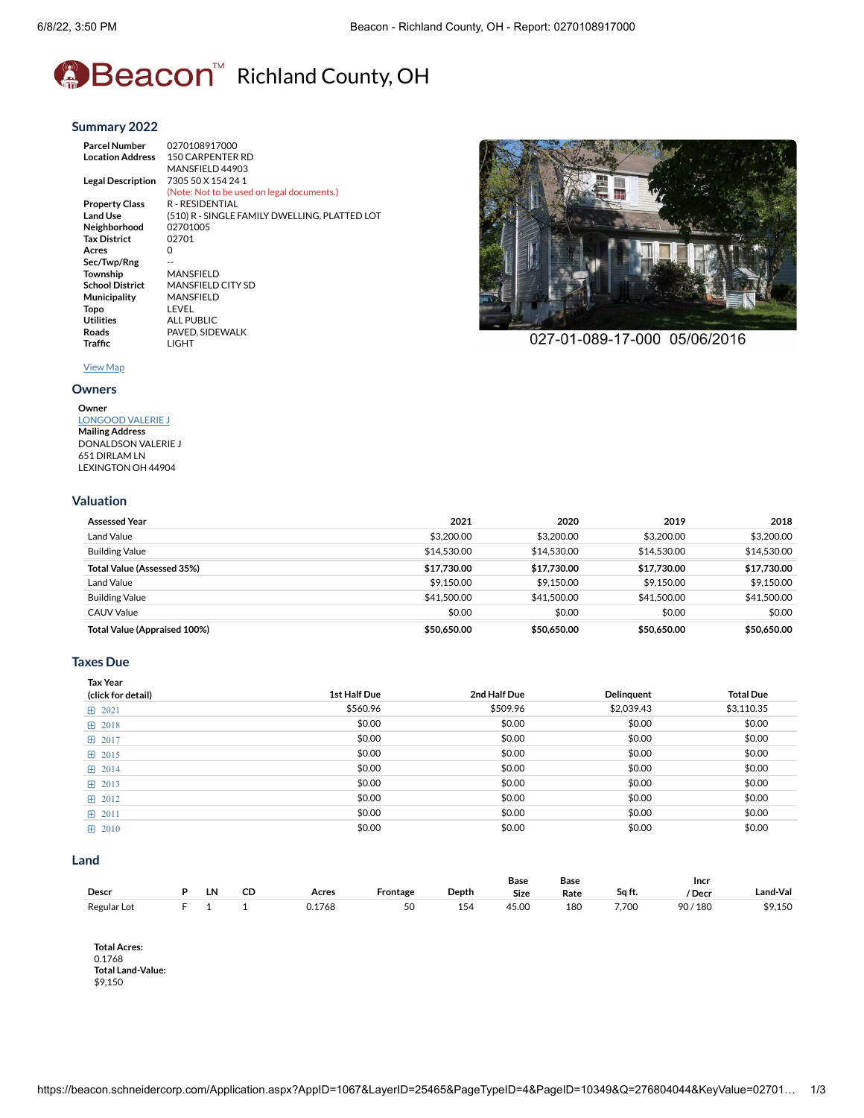# **A**Beacon<sup>™</sup> Richland County, OH

#### **[Summary](https://beacon.schneidercorp.com/Application.aspx?AppID=1067&LayerID=25465&PageTypeID=4&PageID=10349&Q=1110141691&KeyValue=0270108917000) 2022**

**Parcel Number** 0270108917000 **Location Address** 150 CARPENTER RD MANSFIELD 44903 **Legal Description** 7305 50 X 154 24 1 (Note: Not to be used on legal documents.) **Property Class** R - RESIDENTIAL<br>Land Use (510) R - SINGLE F **Land Use** (510) R - SINGLE FAMILY DWELLING, PLATTED LOT **Neighborhood** 027010<br>Tax District 02701 **Tax** District **Acres** 0 Sec/Twp/Rng **Township MANSFIELD**<br>**School District** MANSFIELD **MANSFIELD CITY SD Municipality** MANSFIELD **Topo** LEVEL<br>Utilities ALL PU **Utilities** ALL PUBLIC<br>
Roads PAVED, SIDE **Roads** PAVED, SIDEWALK



027-01-089-17-000 05/06/2016

#### [View](https://beacon.schneidercorp.com/Application.aspx?AppID=1067&LayerID=25465&PageTypeID=1&PageID=10346&Q=690985654&KeyValue=0270108917000) Map

### **[Owners](https://beacon.schneidercorp.com/Application.aspx?AppID=1067&LayerID=25465&PageTypeID=4&PageID=10349&Q=690985654&KeyValue=0270108917000)**

#### **Owner** [LONGOOD](javascript:__doPostBack() VALERIE J **Mailing Address** DONALDSON VALERIE J

**Traffic** LIGHT

651 DIRLAM LN LEXINGTON OH 44904

#### **[Valuation](https://beacon.schneidercorp.com/Application.aspx?AppID=1067&LayerID=25465&PageTypeID=4&PageID=10349&Q=2067941373&KeyValue=0270108917000)**

| <b>Assessed Year</b>              | 2021        | 2020        | 2019        | 2018        |
|-----------------------------------|-------------|-------------|-------------|-------------|
| Land Value                        | \$3,200,00  | \$3,200,00  | \$3,200,00  | \$3,200,00  |
| <b>Building Value</b>             | \$14.530.00 | \$14,530.00 | \$14,530,00 | \$14.530.00 |
| <b>Total Value (Assessed 35%)</b> | \$17.730.00 | \$17.730.00 | \$17.730.00 | \$17.730.00 |
| Land Value                        | \$9.150.00  | \$9.150.00  | \$9,150.00  | \$9.150.00  |
| <b>Building Value</b>             | \$41,500.00 | \$41,500.00 | \$41,500,00 | \$41,500.00 |
| <b>CAUV Value</b>                 | \$0.00      | \$0.00      | \$0.00      | \$0.00      |
| Total Value (Appraised 100%)      | \$50,650.00 | \$50,650.00 | \$50,650.00 | \$50,650.00 |

#### **[Taxes](https://beacon.schneidercorp.com/Application.aspx?AppID=1067&LayerID=25465&PageTypeID=4&PageID=10349&Q=2067941373&KeyValue=0270108917000) Due**

| <b>Tax Year</b><br>(click for detail) | 1st Half Due | 2nd Half Due | Delinquent | <b>Total Due</b> |
|---------------------------------------|--------------|--------------|------------|------------------|
| 田 2021                                | \$560.96     | \$509.96     | \$2,039.43 | \$3,110.35       |
| 田 2018                                | \$0.00       | \$0.00       | \$0.00     | \$0.00           |
| 田 2017                                | \$0.00       | \$0.00       | \$0.00     | \$0.00           |
| $\boxplus$ 2015                       | \$0.00       | \$0.00       | \$0.00     | \$0.00           |
| 田 2014                                | \$0.00       | \$0.00       | \$0.00     | \$0.00           |
| $\boxplus$ 2013                       | \$0.00       | \$0.00       | \$0.00     | \$0.00           |
| $\boxplus$ 2012                       | \$0.00       | \$0.00       | \$0.00     | \$0.00           |
| $\boxplus$ 2011                       | \$0.00       | \$0.00       | \$0.00     | \$0.00           |
| $\boxplus$ 2010                       | \$0.00       | \$0.00       | \$0.00     | \$0.00           |

#### **[Land](https://beacon.schneidercorp.com/Application.aspx?AppID=1067&LayerID=25465&PageTypeID=4&PageID=10349&Q=1648785336&KeyValue=0270108917000)**

|             |    |                               |       |          |                 | Base       | Base |        | <b>Incr</b> |          |
|-------------|----|-------------------------------|-------|----------|-----------------|------------|------|--------|-------------|----------|
| Descr       | ١N | the control of the control of | Acres | -rontage | Depth           | Size       | Rate | Sa ft. | 'Decr       | .and-Val |
| Regular Lot |    |                               |       | c٢<br>эc | 15 <sub>c</sub> | 45.OC<br>. | 180  | 7,700  | 180<br>90,  | 9.150ه   |

**Total Acres:** 0.1768 **Total Land-Value:** \$9,150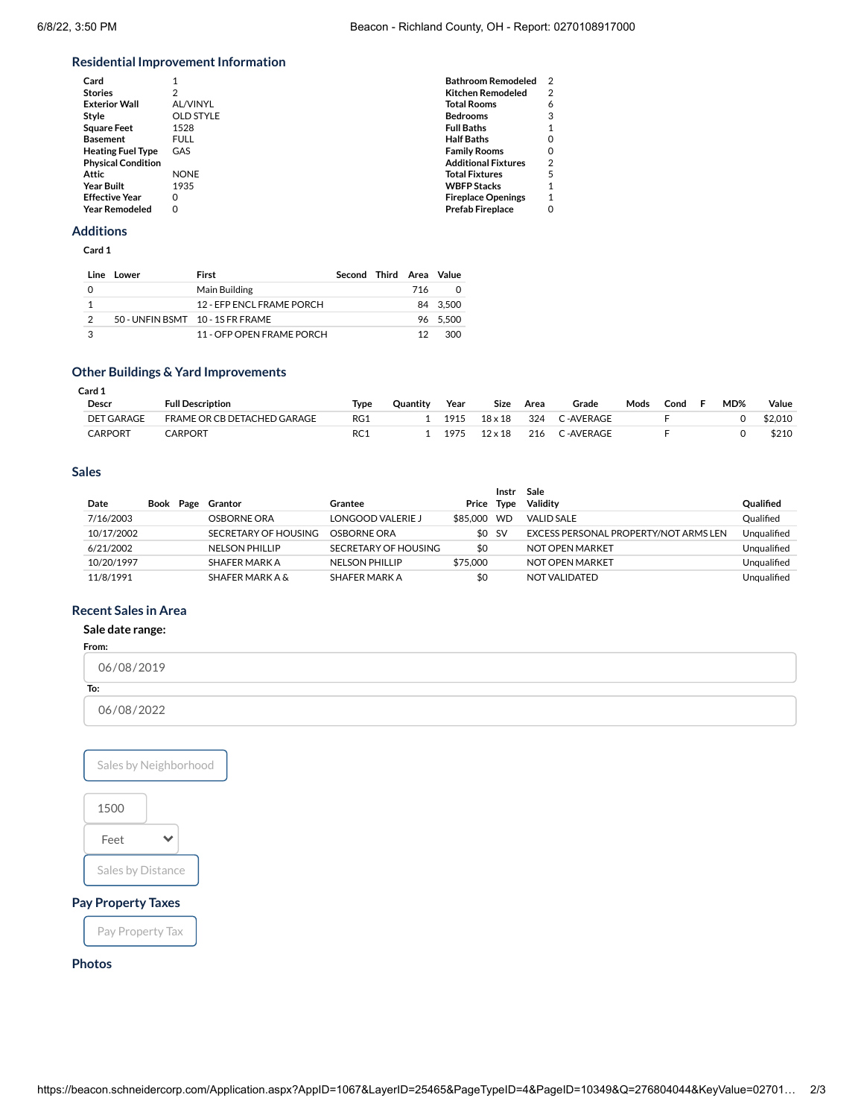# **Residential Improvement Information**

| Card                      |                  | <b>Bathroom Remodeled</b>  |   |
|---------------------------|------------------|----------------------------|---|
| <b>Stories</b>            | 2                | <b>Kitchen Remodeled</b>   | 2 |
| <b>Exterior Wall</b>      | AL/VINYL         | <b>Total Rooms</b>         | 6 |
| Style                     | <b>OLD STYLE</b> | <b>Bedrooms</b>            | 3 |
| <b>Square Feet</b>        | 1528             | <b>Full Baths</b>          |   |
| <b>Basement</b>           | <b>FULL</b>      | <b>Half Baths</b>          |   |
| <b>Heating Fuel Type</b>  | GAS              | <b>Family Rooms</b>        |   |
| <b>Physical Condition</b> |                  | <b>Additional Fixtures</b> | 2 |
| Attic                     | <b>NONE</b>      | <b>Total Fixtures</b>      |   |
| <b>Year Built</b>         | 1935             | <b>WBFP Stacks</b>         |   |
| <b>Effective Year</b>     | $\Omega$         | <b>Fireplace Openings</b>  |   |
| <b>Year Remodeled</b>     | 0                | <b>Prefab Fireplace</b>    |   |
|                           |                  |                            |   |

#### **[Additions](https://beacon.schneidercorp.com/Application.aspx?AppID=1067&LayerID=25465&PageTypeID=4&PageID=10349&Q=1229629299&KeyValue=0270108917000)**

**Card 1**

| Line | <b>Lower</b> | First                            | Second Third Area Value |     |          |
|------|--------------|----------------------------------|-------------------------|-----|----------|
|      |              | Main Building                    |                         | 716 |          |
|      |              | 12 - FEP ENCL ERAME PORCH        |                         |     | 84 3.500 |
| 2    |              | 50 - UNFIN BSMT 10 - 1S FR FRAME |                         |     | 96 5.500 |
| ৽৽   |              | 11 - OFP OPEN FRAME PORCH        |                         |     | 300      |

# **Other Buildings & Yard [Improvements](https://beacon.schneidercorp.com/Application.aspx?AppID=1067&LayerID=25465&PageTypeID=4&PageID=10349&Q=1229629299&KeyValue=0270108917000)**

| Card 1            |                             |            |          |      |                |      |           |      |      |     |         |
|-------------------|-----------------------------|------------|----------|------|----------------|------|-----------|------|------|-----|---------|
| Descr             | <b>Full Description</b>     | Type       | Ouantity | Year | Size           | Area | Grade     | Mods | Cond | MD% | Value   |
| <b>DET GARAGE</b> | FRAME OR CB DETACHED GARAGE | RG1        |          | 1915 | $18\times18$   | 324  | ∩-AVERAGE |      |      |     | \$2,010 |
| <b>CARPORT</b>    | CARPORT                     | <b>RC1</b> |          | 1975 | $12 \times 18$ | 216  | ∩-AVERAGE |      |      |     | \$210   |

# **[Sales](https://beacon.schneidercorp.com/Application.aspx?AppID=1067&LayerID=25465&PageTypeID=4&PageID=10349&Q=1229629299&KeyValue=0270108917000)**

|            |  |                            |                       |          | Instr       | Sale                                  |                  |
|------------|--|----------------------------|-----------------------|----------|-------------|---------------------------------------|------------------|
| Date       |  | Book Page Grantor          | Grantee               | Price    | <b>Type</b> | Validity                              | <b>Qualified</b> |
| 7/16/2003  |  | OSBORNE ORA                | LONGOOD VALERIE J     | \$85.000 | <b>WD</b>   | <b>VALID SALE</b>                     | Oualified        |
| 10/17/2002 |  | SECRETARY OF HOUSING       | OSBORNE ORA           |          | \$0 SV      | EXCESS PERSONAL PROPERTY/NOT ARMS LEN | Unqualified      |
| 6/21/2002  |  | <b>NELSON PHILLIP</b>      | SECRETARY OF HOUSING  | \$0      |             | NOT OPEN MARKET                       | Unqualified      |
| 10/20/1997 |  | SHAFER MARK A              | <b>NELSON PHILLIP</b> | \$75,000 |             | NOT OPEN MARKET                       | Ungualified      |
| 11/8/1991  |  | <b>SHAFER MARK A &amp;</b> | SHAFER MARK A         | \$0      |             | NOT VALIDATED                         | Unqualified      |

# **[Recent](https://beacon.schneidercorp.com/Application.aspx?AppID=1067&LayerID=25465&PageTypeID=4&PageID=10349&Q=459101371&KeyValue=0270108917000) Sales in Area**

# **Sale date range:**

**From:**

| 06/08/2019 |  |
|------------|--|
| To:        |  |
| 06/08/2022 |  |





# **[Photos](https://beacon.schneidercorp.com/Application.aspx?AppID=1067&LayerID=25465&PageTypeID=4&PageID=10349&Q=459101371&KeyValue=0270108917000)**